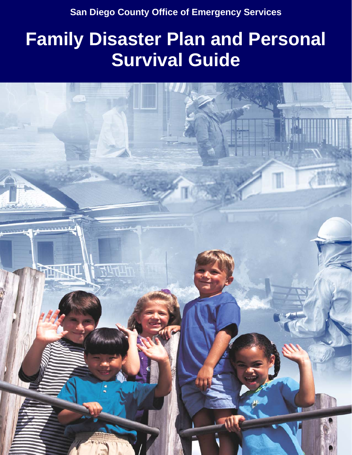**Family Disaster Plan and Personal Survival Survival Survival Survival Survival Survival Survival Survival Survival Survival Survival Survival Survival Survival Survival Survival Survival Survival Survival Survival Surviva San Diego County Office of Emergency Services** 

# **Family Disaster Plan and Personal Survival Guide**

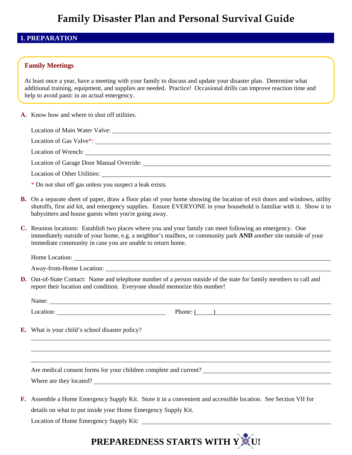#### **I. PREPARATION**

#### **Family Meetings**

At least once a year, have a meeting with your family to discuss and update your disaster plan. Determine what help to avoid panic in an actual emergency. additional training, equipment, and supplies are needed. Practice! Occasional drills can improve reaction time and

**A.** Know how and where to shut off utilities.

| Location of Main Water Valve:            |  |
|------------------------------------------|--|
|                                          |  |
| Location of Wrench:                      |  |
| Location of Garage Door Manual Override: |  |

Location of Other Utilities:

\* Do not shut off gas unless you suspect a leak exists.

- **B.** On a separate sheet of paper, draw a floor plan of your home showing the location of exit doors and windows, utility shutoffs, first aid kit, and emergency supplies. Ensure EVERYONE in your household is familiar with it. Show it to babysitters and house guests when you're going away.
- **C.** Reunion locations: Establish two places where you and your family can meet following an emergency. One immediately outside of your home, e.g. a neighbor's mailbox, or community park **AND** another site outside of your immediate community in case you are unable to return home.

Home Location:

Away-from-Home Location:

**D.** Out-of-State Contact: Name and telephone number of a person outside of the state for family members to call and report their location and condition. Everyone should memorize this number!

Name:

 $\overline{a}$ 

Location: Phone: ()

**E.** What is your child's school disaster policy?

Are medical consent forms for your children complete and current?

Where are they located?

**F.** Assemble a Home Emergency Supply Kit. Store it in a convenient and accessible location. See Section VII for details on what to put inside your Home Emergency Supply Kit.

Location of Home Emergency Supply Kit:

# **PREPAREDNESS STARTS WITH Y CU!**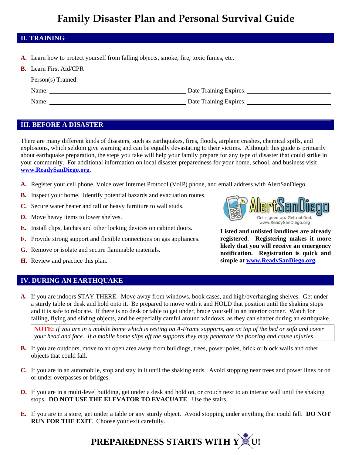#### **II. TRAINING**

**A.** Learn how to protect yourself from falling objects, smoke, fire, toxic fumes, etc.

| <b>B.</b> Learn First Aid/CPR |
|-------------------------------|
| Person(s) Trained:            |

| Name: | Date Training Expires: |  |
|-------|------------------------|--|
| Name: | Date Training Expires: |  |

#### **III. BEFORE A DISASTER**

There are many different kinds of disasters, such as earthquakes, fires, floods, airplane crashes, chemical spills, and explosions, which seldom give warning and can be equally devastating to their victims. Although this guide is primarily about earthquake preparation, the steps you take will help your family prepare for any type of disaster that could strike in your community. For additional information on local disaster preparedness for your home, school, and business visit **www.ReadySanDiego.org**.

- **A.** Register your cell phone, Voice over Internet Protocol (VoIP) phone, and email address with AlertSanDiego.
- **B.** Inspect your home. Identify potential hazards and evacuation routes.
- **C.** Secure water heater and tall or heavy furniture to wall studs.
- **D.** Move heavy items to lower shelves.
- **E.** Install clips, latches and other locking devices on cabinet doors.
- **F.** Provide strong support and flexible connections on gas appliances.
- **G.** Remove or isolate and secure flammable materials.
- **H.** Review and practice this plan.

#### **IV. DURING AN EARTHQUAKE**

**A.** If you are indoors STAY THERE. Move away from windows, book cases, and high/overhanging shelves. Get under a sturdy table or desk and hold onto it. Be prepared to move with it and HOLD that position until the shaking stops and it is safe to relocate. If there is no desk or table to get under, brace yourself in an interior corner. Watch for falling, flying and sliding objects, and be especially careful around windows, as they can shatter during an earthquake.

**NOTE:** *If you are in a mobile home which is resting on A-Frame supports, get on top of the bed or sofa and cover your head and face. If a mobile home slips off the supports they may penetrate the flooring and cause injuries*.

- **B.** If you are outdoors, move to an open area away from buildings, trees, power poles, brick or block walls and other objects that could fall.
- **C.** If you are in an automobile, stop and stay in it until the shaking ends. Avoid stopping near trees and power lines or on or under overpasses or bridges.
- **D.** If you are in a multi-level building, get under a desk and hold on, or crouch next to an interior wall until the shaking stops. **DO NOT USE THE ELEVATOR TO EVACUATE**. Use the stairs.
- **E.** If you are in a store, get under a table or any sturdy object. Avoid stopping under anything that could fall. **DO NOT RUN FOR THE EXIT**. Choose your exit carefully.





**Listed and unlisted landlines are already registered. Registering makes it more likely that you will receive an emergency notification. Registration is quick and simple at www.ReadySanDiego.org.**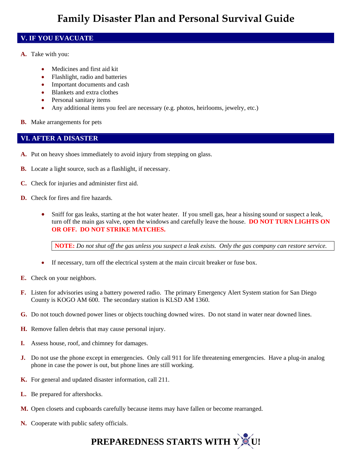#### **V. IF YOU EVACUATE**

- **A.** Take with you:
	- Medicines and first aid kit
	- Flashlight, radio and batteries
	- Important documents and cash
	- Blankets and extra clothes
	- Personal sanitary items
	- Any additional items you feel are necessary (e.g. photos, heirlooms, jewelry, etc.)
- **B.** Make arrangements for pets

#### **VI. AFTER A DISASTER**

- **A.** Put on heavy shoes immediately to avoid injury from stepping on glass.
- **B.** Locate a light source, such as a flashlight, if necessary.
- **C.** Check for injuries and administer first aid.
- **D.** Check for fires and fire hazards.
	- Sniff for gas leaks, starting at the hot water heater. If you smell gas, hear a hissing sound or suspect a leak, turn off the main gas valve, open the windows and carefully leave the house. **DO NOT TURN LIGHTS ON OR OFF. DO NOT STRIKE MATCHES.**

**NOTE:** *Do not shut off the gas unless you suspect a leak exists. Only the gas company can restore service.*

- If necessary, turn off the electrical system at the main circuit breaker or fuse box.
- **E.** Check on your neighbors.
- **F.** Listen for advisories using a battery powered radio. The primary Emergency Alert System station for San Diego County is KOGO AM 600. The secondary station is KLSD AM 1360.
- **G.** Do not touch downed power lines or objects touching downed wires. Do not stand in water near downed lines.
- **H.** Remove fallen debris that may cause personal injury.
- **I.** Assess house, roof, and chimney for damages.
- **J.** Do not use the phone except in emergencies. Only call 911 for life threatening emergencies. Have a plug-in analog phone in case the power is out, but phone lines are still working.
- **K.** For general and updated disaster information, call 211.
- **L.** Be prepared for aftershocks.
- **M.** Open closets and cupboards carefully because items may have fallen or become rearranged.
- **N.** Cooperate with public safety officials.

# **PREPAREDNESS STARTS WITH Y U!**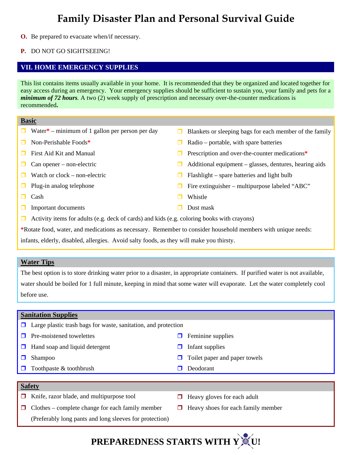**O.** Be prepared to evacuate when/if necessary.

#### **P.** DO NOT GO SIGHTSEEING!

#### **VII. HOME EMERGENCY SUPPLIES**

This list contains items usually available in your home. It is recommended that they be organized and located together for easy access during an emergency. Your emergency supplies should be sufficient to sustain you, your family and pets for a *minimum of 72 hours.* A two (2) week supply of prescription and necessary over-the-counter medications is recommended**.**

#### **Basic**

- 
- 
- 
- 
- 
- 
- 
- $\Box$  Important documents  $\Box$  Dust mask
- $\Box$  Water\* minimum of 1 gallon per person per day  $\Box$  Blankets or sleeping bags for each member of the family
- Non-Perishable Foods<sup>\*</sup> Radio portable, with spare batteries
- First Aid Kit and Manual Prescription and over-the-counter medications**\***
- $\Box$  Can opener non-electric  $\Box$  Additional equipment glasses, dentures, hearing aids
- Watch or clock non-electric  $\Box$  Flashlight spare batteries and light bulb
- Plug-in analog telephone  $\Box$  Fire extinguisher multipurpose labeled "ABC"
- **Cash** Cash Vhistle
	-
- $\Box$  Activity items for adults (e.g. deck of cards) and kids (e.g. coloring books with crayons)

**\***Rotate food, water, and medications as necessary. Remember to consider household members with unique needs:

infants, elderly, disabled, allergies. Avoid salty foods, as they will make you thirsty.

#### **Water Tips**

The best option is to store drinking water prior to a disaster, in appropriate containers. If purified water is not available, water should be boiled for 1 full minute, keeping in mind that some water will evaporate. Let the water completely cool before use.

#### **Sanitation Supplies**

|        | $\Box$ Large plastic trash bags for waste, sanitation, and protection |        |                               |  |
|--------|-----------------------------------------------------------------------|--------|-------------------------------|--|
| $\Box$ | Pre-moistened towelettes                                              | $\Box$ | Feminine supplies             |  |
| $\Box$ | Hand soap and liquid detergent                                        | H      | Infant supplies               |  |
|        | Shampoo                                                               | $\Box$ | Toilet paper and paper towels |  |
| $\Box$ | Toothpaste & toothbrush                                               |        | Deodorant                     |  |
|        |                                                                       |        |                               |  |
|        | <b>Safety</b>                                                         |        |                               |  |
|        | $\blacksquare$ $\blacksquare$ $\blacksquare$<br>$\cdots$ $\cdots$     |        |                               |  |

- $\Box$  Knife, razor blade, and multipurpose tool  $\Box$  Heavy gloves for each adult
- $\Box$  Clothes complete change for each family member
	- (Preferably long pants and long sleeves for protection)
- 
- $\Box$  Heavy shoes for each family member

# **PREPAREDNESS STARTS WITH Y**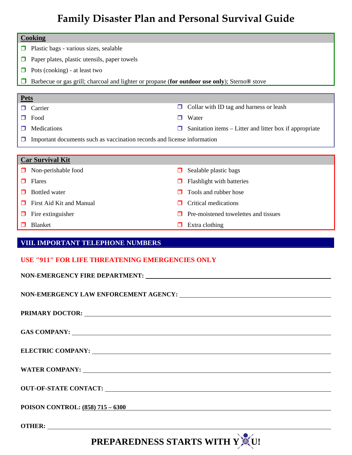|             | <b>Cooking</b>                                                                               |   |                                                         |  |
|-------------|----------------------------------------------------------------------------------------------|---|---------------------------------------------------------|--|
| $\Box$      | Plastic bags - various sizes, sealable                                                       |   |                                                         |  |
| $\Box$      | Paper plates, plastic utensils, paper towels                                                 |   |                                                         |  |
| □           | Pots (cooking) - at least two                                                                |   |                                                         |  |
|             | Barbecue or gas grill; charcoal and lighter or propane (for outdoor use only); Sterno® stove |   |                                                         |  |
|             |                                                                                              |   |                                                         |  |
| <b>Pets</b> | Carrier                                                                                      | □ | Collar with ID tag and harness or leash                 |  |
|             | Food                                                                                         |   | Water                                                   |  |
|             | Medications                                                                                  |   | Sanitation items – Litter and litter box if appropriate |  |
|             | Important documents such as vaccination records and license information                      |   |                                                         |  |
|             |                                                                                              |   |                                                         |  |
|             | <b>Car Survival Kit</b>                                                                      |   |                                                         |  |
|             | Non-perishable food                                                                          |   | Sealable plastic bags                                   |  |
| П           | Flares                                                                                       |   | Flashlight with batteries                               |  |
| П           | <b>Bottled</b> water                                                                         |   | Tools and rubber hose                                   |  |
| $\Box$      | First Aid Kit and Manual                                                                     |   | Critical medications                                    |  |
|             | Fire extinguisher                                                                            |   | Pre-moistened towelettes and tissues                    |  |
|             | Blanket                                                                                      | □ | Extra clothing                                          |  |
|             |                                                                                              |   |                                                         |  |
|             | VIII. IMPORTANT TELEPHONE NUMBERS                                                            |   |                                                         |  |
|             | <b>USE "911" FOR LIFE THREATENING EMERGENCIES ONLY</b>                                       |   |                                                         |  |
|             | NON-EMERGENCY FIRE DEPARTMENT:                                                               |   |                                                         |  |
|             |                                                                                              |   |                                                         |  |
|             |                                                                                              |   |                                                         |  |
|             |                                                                                              |   |                                                         |  |
|             |                                                                                              |   |                                                         |  |
|             |                                                                                              |   |                                                         |  |
|             |                                                                                              |   |                                                         |  |
|             |                                                                                              |   |                                                         |  |
|             |                                                                                              |   |                                                         |  |
|             |                                                                                              |   |                                                         |  |
|             |                                                                                              |   |                                                         |  |
|             |                                                                                              |   |                                                         |  |
|             |                                                                                              |   |                                                         |  |
|             | POISON CONTROL: <u>(858) 715 – 6300</u>                                                      |   |                                                         |  |
|             |                                                                                              |   |                                                         |  |

**PREPAREDNESS STARTS WITH Y CU!**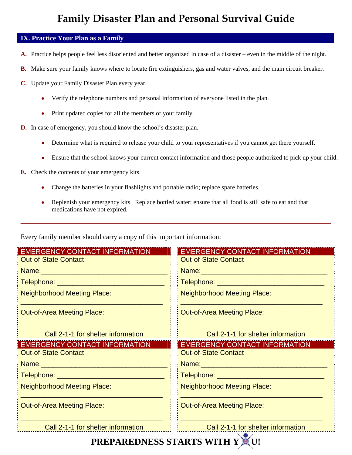#### **IX. Practice Your Plan as a Family**

- **A.** Practice helps people feel less disoriented and better organized in case of a disaster even in the middle of the night.
- **B.** Make sure your family knows where to locate fire extinguishers, gas and water valves, and the main circuit breaker.
- **C.** Update your Family Disaster Plan every year.
	- Verify the telephone numbers and personal information of everyone listed in the plan.
	- Print updated copies for all the members of your family.
- **D.** In case of emergency, you should know the school's disaster plan.
	- Determine what is required to release your child to your representatives if you cannot get there yourself.
	- Ensure that the school knows your current contact information and those people authorized to pick up your child.
- **E.** Check the contents of your emergency kits.
	- Change the batteries in your flashlights and portable radio; replace spare batteries.
	- Replenish your emergency kits. Replace bottled water; ensure that all food is still safe to eat and that medications have not expired.

\_\_\_\_\_\_\_\_\_\_\_\_\_\_\_\_\_\_\_\_\_\_\_\_\_\_\_\_\_\_\_\_\_\_\_\_\_\_\_\_\_\_\_\_\_\_\_\_\_\_\_\_\_\_\_\_\_\_\_\_

Every family member should carry a copy of this important information:

| <b>EMERGENCY CONTACT INFORMATION</b>                                                                                                                                                                                           | <b>EMERGENCY CONTACT INFORMATION</b>                                                                           |
|--------------------------------------------------------------------------------------------------------------------------------------------------------------------------------------------------------------------------------|----------------------------------------------------------------------------------------------------------------|
| <b>Out-of-State Contact</b>                                                                                                                                                                                                    | <b>Out-of-State Contact</b>                                                                                    |
|                                                                                                                                                                                                                                | Name: 2008 2010 2021 2022 2023 2024 2022 2022 2023 2024 2022 2023 2024 2022 2023 2024 2022 2023 2024 2025 2026 |
|                                                                                                                                                                                                                                | <u>   Telephone: ______________________________</u>                                                            |
| <b>Neighborhood Meeting Place:</b>                                                                                                                                                                                             | <b>Neighborhood Meeting Place:</b>                                                                             |
| <b>Out-of-Area Meeting Place:</b>                                                                                                                                                                                              | <b>Out-of-Area Meeting Place:</b>                                                                              |
| Call 2-1-1 for shelter information                                                                                                                                                                                             | Call 2-1-1 for shelter information                                                                             |
|                                                                                                                                                                                                                                |                                                                                                                |
| <b>EMERGENCY CONTACT INFORMATION</b>                                                                                                                                                                                           | <b>EMERGENCY CONTACT INFORMATION</b>                                                                           |
| <b>Out-of-State Contact</b>                                                                                                                                                                                                    | <b>Out-of-State Contact</b>                                                                                    |
| Name: Name: Name and Name and Name and Name and Name and Name and Name and Name and Name and Name and Name and Name and Name and Name and Name and Name and Name and Name and Name and Name and Name and Name and Name and Nam |                                                                                                                |
|                                                                                                                                                                                                                                |                                                                                                                |
| <b>Neighborhood Meeting Place:</b>                                                                                                                                                                                             | <b>Neighborhood Meeting Place:</b>                                                                             |
| <b>Out-of-Area Meeting Place:</b>                                                                                                                                                                                              | <b>Out-of-Area Meeting Place:</b>                                                                              |

# **PREPAREDNESS STARTS WITH Y CU!**